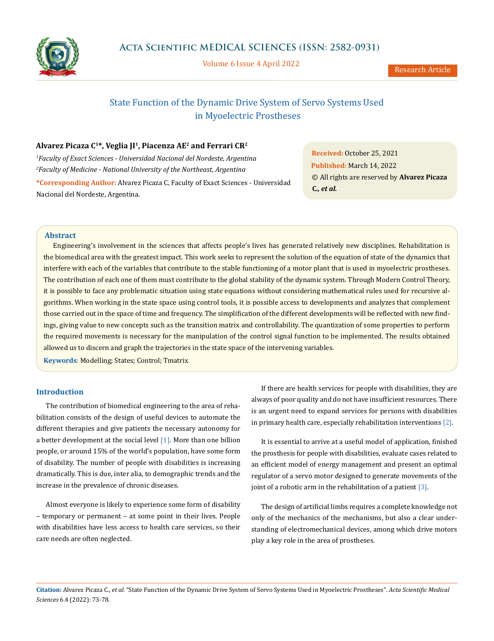

Volume 6 Issue 4 April 2022

# State Function of the Dynamic Drive System of Servo Systems Used in Myoelectric Prostheses

## **Alvarez Picaza C1\*, Veglia JI1, Piacenza AE2 and Ferrari CR2**

*1 Faculty of Exact Sciences - Universidad Nacional del Nordeste, Argentina 2 Faculty of Medicine - National University of the Northeast, Argentina*

**\*Corresponding Author:** Alvarez Picaza C, Faculty of Exact Sciences - Universidad Nacional del Nordeste, Argentina.

**Received:** October 25, 2021 **Published:** March 14, 2022 © All rights are reserved by **Alvarez Picaza C***., et al.*

## **Abstract**

Engineering's involvement in the sciences that affects people's lives has generated relatively new disciplines. Rehabilitation is the biomedical area with the greatest impact. This work seeks to represent the solution of the equation of state of the dynamics that interfere with each of the variables that contribute to the stable functioning of a motor plant that is used in myoelectric prostheses. The contribution of each one of them must contribute to the global stability of the dynamic system. Through Modern Control Theory, it is possible to face any problematic situation using state equations without considering mathematical rules used for recursive algorithms. When working in the state space using control tools, it is possible access to developments and analyzes that complement those carried out in the space of time and frequency. The simplification of the different developments will be reflected with new findings, giving value to new concepts such as the transition matrix and controllability. The quantization of some properties to perform the required movements is necessary for the manipulation of the control signal function to be implemented. The results obtained allowed us to discern and graph the trajectories in the state space of the intervening variables.

**Keywords**: Modelling; States; Control; Tmatrix

## **Introduction**

The contribution of biomedical engineering to the area of rehabilitation consists of the design of useful devices to automate the different therapies and give patients the necessary autonomy for a better development at the social level  $[1]$ . More than one billion people, or around 15% of the world's population, have some form of disability. The number of people with disabilities is increasing dramatically. This is due, inter alia, to demographic trends and the increase in the prevalence of chronic diseases.

Almost everyone is likely to experience some form of disability – temporary or permanent – at some point in their lives. People with disabilities have less access to health care services, so their care needs are often neglected.

If there are health services for people with disabilities, they are always of poor quality and do not have insufficient resources. There is an urgent need to expand services for persons with disabilities in primary health care, especially rehabilitation interventions [2].

It is essential to arrive at a useful model of application, finished the prosthesis for people with disabilities, evaluate cases related to an efficient model of energy management and present an optimal regulator of a servo motor designed to generate movements of the joint of a robotic arm in the rehabilitation of a patient  $[3]$ .

The design of artificial limbs requires a complete knowledge not only of the mechanics of the mechanisms, but also a clear understanding of electromechanical devices, among which drive motors play a key role in the area of prostheses.

**Citation:** Alvarez Picaza C*., et al.* "State Function of the Dynamic Drive System of Servo Systems Used in Myoelectric Prostheses". *Acta Scientific Medical Sciences* 6.4 (2022): 73-78.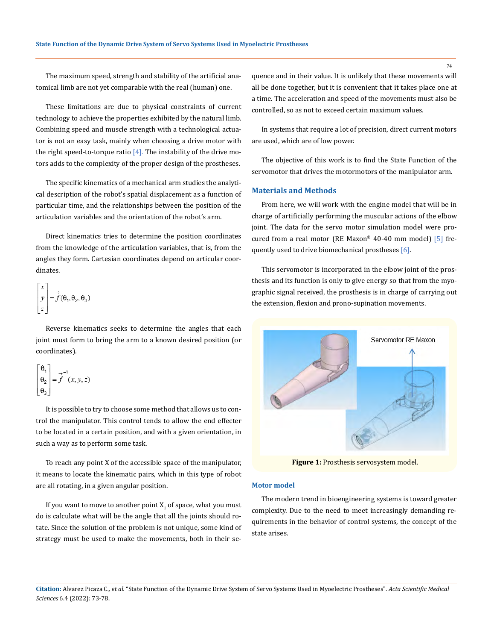The maximum speed, strength and stability of the artificial anatomical limb are not yet comparable with the real (human) one.

These limitations are due to physical constraints of current technology to achieve the properties exhibited by the natural limb. Combining speed and muscle strength with a technological actuator is not an easy task, mainly when choosing a drive motor with the right speed-to-torque ratio  $[4]$ . The instability of the drive motors adds to the complexity of the proper design of the prostheses.

The specific kinematics of a mechanical arm studies the analytical description of the robot's spatial displacement as a function of particular time, and the relationships between the position of the articulation variables and the orientation of the robot's arm.

Direct kinematics tries to determine the position coordinates from the knowledge of the articulation variables, that is, from the angles they form. Cartesian coordinates depend on articular coordinates.

$$
\begin{bmatrix} x \\ y \\ z \end{bmatrix} = \vec{f}(\theta_1, \theta_2, \theta_3)
$$

Reverse kinematics seeks to determine the angles that each joint must form to bring the arm to a known desired position (or coordinates).

$$
\begin{bmatrix} \theta_1 \\ \theta_2 \\ \theta_3 \end{bmatrix} = \vec{f}^{-1}(x, y, z)
$$

It is possible to try to choose some method that allows us to control the manipulator. This control tends to allow the end effecter to be located in a certain position, and with a given orientation, in such a way as to perform some task.

To reach any point X of the accessible space of the manipulator, it means to locate the kinematic pairs, which in this type of robot are all rotating, in a given angular position.

If you want to move to another point  $X_1$  of space, what you must do is calculate what will be the angle that all the joints should rotate. Since the solution of the problem is not unique, some kind of strategy must be used to make the movements, both in their sequence and in their value. It is unlikely that these movements will all be done together, but it is convenient that it takes place one at a time. The acceleration and speed of the movements must also be controlled, so as not to exceed certain maximum values.

In systems that require a lot of precision, direct current motors are used, which are of low power.

The objective of this work is to find the State Function of the servomotor that drives the motormotors of the manipulator arm.

## **Materials and Methods**

From here, we will work with the engine model that will be in charge of artificially performing the muscular actions of the elbow joint. The data for the servo motor simulation model were procured from a real motor (RE Maxon® 40-40 mm model) [5] frequently used to drive biomechanical prostheses [6].

This servomotor is incorporated in the elbow joint of the prosthesis and its function is only to give energy so that from the myographic signal received, the prosthesis is in charge of carrying out the extension, flexion and prono-supination movements.



**Figure 1:** Prosthesis servosystem model.

#### **Motor model**

The modern trend in bioengineering systems is toward greater complexity. Due to the need to meet increasingly demanding requirements in the behavior of control systems, the concept of the state arises.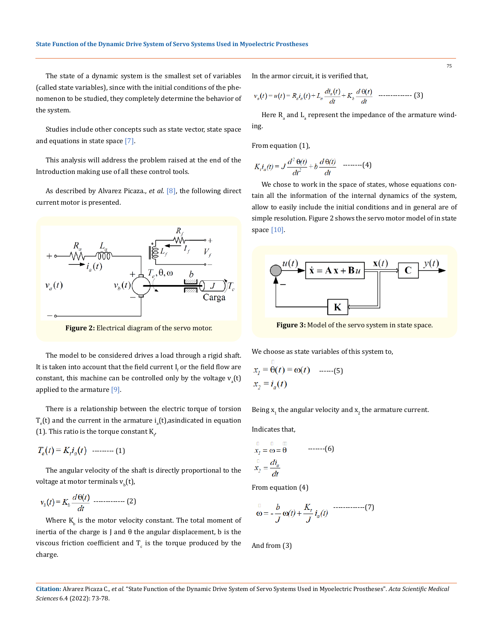The state of a dynamic system is the smallest set of variables (called state variables), since with the initial conditions of the phenomenon to be studied, they completely determine the behavior of the system.

Studies include other concepts such as state vector, state space and equations in state space [7].

This analysis will address the problem raised at the end of the Introduction making use of all these control tools.

As described by Alvarez Picaza., *et al*. [8], the following direct current motor is presented.



**Figure 2:** Electrical diagram of the servo motor.

The model to be considered drives a load through a rigid shaft. It is taken into account that the field current  $I_f$  or the field flow are constant, this machine can be controlled only by the voltage  $v_a(t)$ applied to the armature [9].

There is a relationship between the electric torque of torsion  $T_e$ (t) and the current in the armature  $i_a$ (t),asindicated in equation (1). This ratio is the torque constant  $\mathtt{K}_{t'}$ 

--------- (1)

The angular velocity of the shaft is directly proportional to the voltage at motor terminals  $\bm{{\mathsf{v}}}_{\text{b}}(\bm{{\mathsf{t}}})$ ,

$$
v_b(t) = K_b \frac{d\Theta(t)}{dt} \quad \dots \dots \dots \dots \dots \tag{2}
$$

Where  $K_{\text{b}}$  is the motor velocity constant. The total moment of inertia of the charge is  $J$  and  $\theta$  the angular displacement, b is the viscous friction coefficient and  $T_c$  is the torque produced by the charge.

In the armor circuit, it is verified that,

$$
v_a(t) = u(t) = R_a i_a(t) + L_a \frac{di_a(t)}{dt} + K_b \frac{d\Theta(t)}{dt}
$$
{} [3]

Here  $\mathsf{R}_{_\mathrm{a}}$  and  $\mathsf{L}_{_\mathrm{a}}$  represent the impedance of the armature winding.

From equation (1),

$$
K_t i_a(t) = J \frac{d^2 \Theta(t)}{dt^2} + b \frac{d \Theta(t)}{dt} \quad \text{---} \quad (4)
$$

We chose to work in the space of states, whose equations contain all the information of the internal dynamics of the system, allow to easily include the initial conditions and in general are of simple resolution. Figure 2 shows the servo motor model of in state space [10].



**Figure 3:** Model of the servo system in state space.

We choose as state variables of this system to,

$$
x_1 = \ddot{\Theta}(t) = \omega(t) \quad \text{......}(5)
$$
  

$$
x_2 = i_a(t)
$$

Being  $\mathbf{x}_{1}$  the angular velocity and  $\mathbf{x}_{2}$  the armature current.

Indicates that,

$$
\overrightarrow{x_1} = \overrightarrow{0} = \overrightarrow{0}
$$
 ......-(6)  

$$
\overrightarrow{x_2} = \frac{di_a}{dt}
$$

From equation (4)

$$
\stackrel{\square}{\infty} = -\frac{b}{J}\omega(t) + \frac{K_t}{J}i_a(t) \quad \text{............(7)}
$$

And from (3)

**Citation:** Alvarez Picaza C*., et al.* "State Function of the Dynamic Drive System of Servo Systems Used in Myoelectric Prostheses". *Acta Scientific Medical Sciences* 6.4 (2022): 73-78.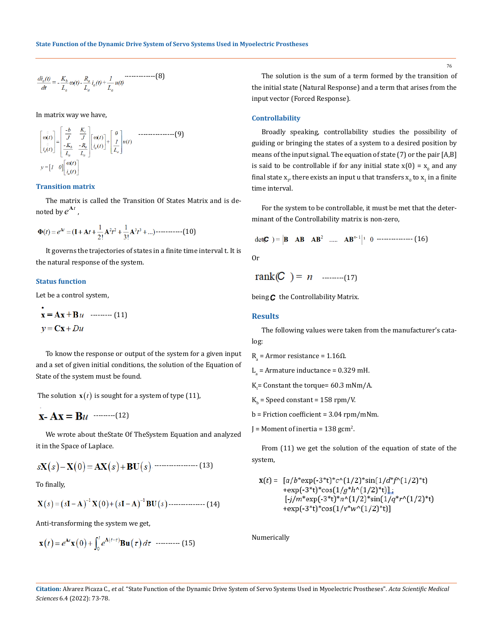$$
\frac{di_a(t)}{dt} = -\frac{K_b}{L_a}\omega(t) - \frac{R_a}{L_a}i_a(t) + \frac{1}{L_a}u(t)
$$

In matrix way we have,

÷.

$$
\begin{bmatrix} \omega(t) \\ \omega(t) \\ \vdots \\ \omega(t) \end{bmatrix} = \begin{bmatrix} \frac{-b}{J} & \frac{K_t}{J} \\ -\frac{K_b}{L_a} & \frac{-R_a}{L_a} \end{bmatrix} \begin{bmatrix} \omega(t) \\ \vdots \\ \omega(t) \end{bmatrix} + \begin{bmatrix} 0 \\ \frac{I}{L_a} \end{bmatrix} u(t) \qquad \text{---}
$$

### **Transition matrix**

The matrix is called the Transition Of States Matrix and is denoted by  $e^{At}$  ,

$$
\Phi(t) = e^{\mathbf{A}t} = (\mathbf{I} + \mathbf{A}t + \frac{1}{2!}\mathbf{A}^2t^2 + \frac{1}{3!}\mathbf{A}^3t^3 + \ldots) \cdots \cdots \cdots \cdots (10)
$$

It governs the trajectories of states in a finite time interval t. It is the natural response of the system.

#### **Status function**

Let be a control system,

$$
\mathbf{x} = \mathbf{A}\mathbf{x} + \mathbf{B}u \quad \text{........(11)}
$$

$$
y = \mathbf{C}\mathbf{x} + Du
$$

To know the response or output of the system for a given input and a set of given initial conditions, the solution of the Equation of State of the system must be found.

The solution  $\mathbf{x}(t)$  is sought for a system of type (11),

$$
\mathbf{X} \cdot \mathbf{A} \mathbf{X} = \mathbf{B} u \quad \text{and} \quad (12)
$$

We wrote about theState Of TheSystem Equation and analyzed it in the Space of Laplace.

$$
s\mathbf{X}(s) - \mathbf{X}(0) = \mathbf{A}\mathbf{X}(s) + \mathbf{B}\mathbf{U}(s)
$$
 (13)

To finally,

$$
X(s) = (sI - A)^{-1} X(0) + (sI - A)^{-1} BU(s) \dots (14)
$$

Anti-transforming the system we get,

$$
\mathbf{x}(t) = e^{\mathbf{A}t}\mathbf{x}(0) + \int_0^t e^{\mathbf{A}(t-\tau)} \mathbf{B} \mathbf{u}(\tau) d\tau \quad \text{............ (15)}
$$

The solution is the sum of a term formed by the transition of the initial state (Natural Response) and a term that arises from the input vector (Forced Response).

#### **Controllability**

Broadly speaking, controllability studies the possibility of guiding or bringing the states of a system to a desired position by means of the input signal. The equation of state (7) or the pair [A,B] is said to be controllable if for any initial state  $x(0) = x_0$  and any final state  $\mathbf{x}_{1'}$ , there exists an input u that transfers  $\mathbf{x}_{0}$  to  $\mathbf{x}_{1}$  in a finite time interval.

For the system to be controllable, it must be met that the determinant of the Controllability matrix is non-zero,

$$
\det(\mathbf{C}) = |\mathbf{B} \quad \mathbf{AB} \quad \mathbf{AB}^2 \quad \dots \quad \mathbf{AB}^{n-1}|^1 \quad 0 \quad \dots \quad (16)
$$

$$
rank(C) = n
$$
 ......(17)

being *C* the Controllability Matrix.

#### **Results**

The following values were taken from the manufacturer's catalog:

 $R_a$  = Armor resistance = 1.16 $\Omega$ .

 $L_{a}$  = Armature inductance = 0.329 mH.

 $K_t$ = Constant the torque= 60.3 mNm/A.

 $K_{b}$  = Speed constant = 158 rpm/V.

b = Friction coefficient = 3.04 rpm/mNm.

J = Moment of inertia =  $138 \text{ gcm}^2$ .

From (11) we get the solution of the equation of state of the system,

$$
\mathbf{x}(t) = [a/b^* \exp(-3^* t)^* c^{\wedge} (1/2)^* \sin(1/d^* f^{\wedge} (1/2)^* t) \n+ \exp(-3^* t)^* \cos(1/g^* h^{\wedge} (1/2)^* t)]_i \n[-j/m^* \exp(-3^* t)^* n^{\wedge} (1/2)^* \sin(1/q^* r^{\wedge} (1/2)^* t) \n+ \exp(-3^* t)^* \cos(1/v^* w^{\wedge} (1/2)^* t)]
$$

Numerically

**Citation:** Alvarez Picaza C*., et al.* "State Function of the Dynamic Drive System of Servo Systems Used in Myoelectric Prostheses". *Acta Scientific Medical Sciences* 6.4 (2022): 73-78.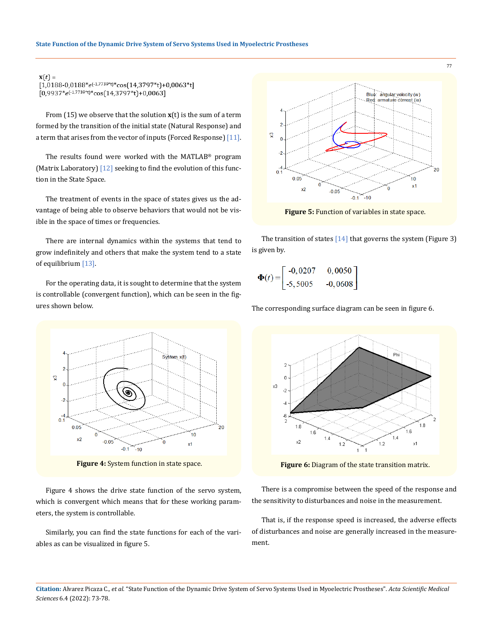$\mathbf{x}(t) =$  $[1,0188-0,0188*e^{(-1,7739*t)*}cos(14,3797*t)+0,0063*t]$  $[0,9937*e^{(-1,7739*t)*}cos(14,3797*t)+0,0063]$ 

From (15) we observe that the solution **x**(t) is the sum of a term formed by the transition of the initial state (Natural Response) and a term that arises from the vector of inputs (Forced Response) [11].

The results found were worked with the MATLAB® program (Matrix Laboratory) [12] seeking to find the evolution of this function in the State Space.

The treatment of events in the space of states gives us the advantage of being able to observe behaviors that would not be visible in the space of times or frequencies.

There are internal dynamics within the systems that tend to grow indefinitely and others that make the system tend to a state of equilibrium [13].

For the operating data, it is sought to determine that the system is controllable (convergent function), which can be seen in the figures shown below.



**Figure 4:** System function in state space.

Figure 4 shows the drive state function of the servo system, which is convergent which means that for these working parameters, the system is controllable.

Similarly, you can find the state functions for each of the variables as can be visualized in figure 5.



**Figure 5:** Function of variables in state space.

The transition of states  $[14]$  that governs the system (Figure 3) is given by.

$$
\mathbf{\Phi}(t) = \begin{bmatrix} -0.0207 & 0.0050 \\ -5.5005 & -0.0608 \end{bmatrix}
$$

The corresponding surface diagram can be seen in figure 6.



**Figure 6:** Diagram of the state transition matrix.

There is a compromise between the speed of the response and the sensitivity to disturbances and noise in the measurement.

That is, if the response speed is increased, the adverse effects of disturbances and noise are generally increased in the measurement.

**Citation:** Alvarez Picaza C*., et al.* "State Function of the Dynamic Drive System of Servo Systems Used in Myoelectric Prostheses". *Acta Scientific Medical Sciences* 6.4 (2022): 73-78.